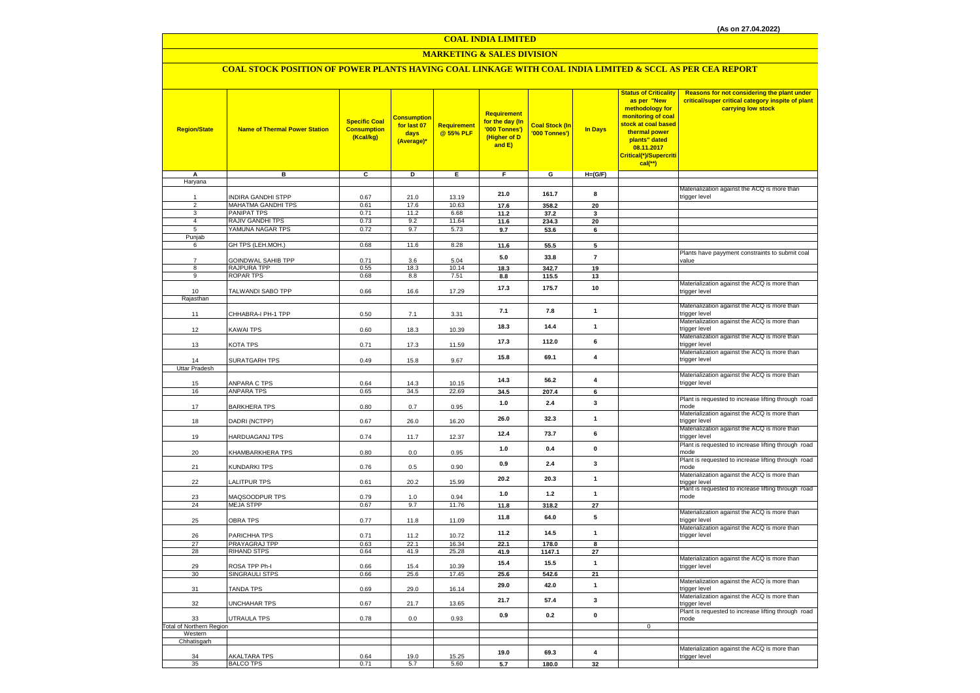### **COAL INDIA LIMITED**

### **MARKETING & SALES DIVISION**

### **COAL STOCK POSITION OF POWER PLANTS HAVING COAL LINKAGE WITH COAL INDIA LIMITED & SCCL AS PER CEA REPORT**

| <b>Region/State</b>             | <b>Name of Thermal Power Station</b>     | <b>Specific Coal</b><br><b>Consumption</b><br>(Kcal/kg) | <b>Consumption</b><br>for last 07<br>days<br>(Average)* | <b>Requirement</b><br>@ 55% PLF | <b>Requirement</b><br>for the day (In<br>'000 Tonnes')<br>(Higher of D<br>and E) | <b>Coal Stock (In</b><br>'000 Tonnes') | <b>In Days</b>          | <b>Status of Criticality</b><br>as per "New<br>methodology for<br>monitoring of coal<br>stock at coal based<br>thermal power<br>plants" dated<br>08.11.2017<br>Critical(*)/Supercriti<br>$cal{C}$ <sup>**</sup> ) | Reasons for not considering the plant under<br>critical/super critical category inspite of plant<br>carrying low stock |
|---------------------------------|------------------------------------------|---------------------------------------------------------|---------------------------------------------------------|---------------------------------|----------------------------------------------------------------------------------|----------------------------------------|-------------------------|-------------------------------------------------------------------------------------------------------------------------------------------------------------------------------------------------------------------|------------------------------------------------------------------------------------------------------------------------|
| A<br>Haryana                    | в                                        | C                                                       | D                                                       | Е.                              | F.                                                                               | G                                      | $H=(G/F)$               |                                                                                                                                                                                                                   |                                                                                                                        |
|                                 |                                          |                                                         |                                                         |                                 |                                                                                  |                                        |                         |                                                                                                                                                                                                                   | Materialization against the ACQ is more than                                                                           |
|                                 | INDIRA GANDHI STPP                       | 0.67                                                    | 21.0                                                    | 13.19                           | 21.0                                                                             | 161.7                                  | 8                       |                                                                                                                                                                                                                   | trigger level                                                                                                          |
| $\overline{c}$<br>3             | MAHATMA GANDHI TPS<br><b>PANIPAT TPS</b> | 0.61<br>0.71                                            | 17.6<br>11.2                                            | 10.63<br>6.68                   | 17.6<br>11.2                                                                     | 358.2<br>37.2                          | 20<br>3                 |                                                                                                                                                                                                                   |                                                                                                                        |
| $\overline{4}$                  | RAJIV GANDHI TPS                         | 0.73                                                    | 9.2                                                     | 11.64                           | 11.6                                                                             | 234.3                                  | 20                      |                                                                                                                                                                                                                   |                                                                                                                        |
| 5                               | YAMUNA NAGAR TPS                         | 0.72                                                    | 9.7                                                     | 5.73                            | 9.7                                                                              | 53.6                                   | 6                       |                                                                                                                                                                                                                   |                                                                                                                        |
| Punjab                          |                                          |                                                         |                                                         |                                 |                                                                                  |                                        |                         |                                                                                                                                                                                                                   |                                                                                                                        |
| 6                               | GH TPS (LEH.MOH.)                        | 0.68                                                    | 11.6                                                    | 8.28                            | 11.6                                                                             | 55.5                                   | 5                       |                                                                                                                                                                                                                   |                                                                                                                        |
| $\overline{7}$                  | GOINDWAL SAHIB TPP                       | 0.71                                                    | 3.6                                                     | 5.04                            | 5.0                                                                              | 33.8                                   | $\overline{7}$          |                                                                                                                                                                                                                   | Plants have payyment constraints to submit coal<br>value                                                               |
| 8                               | RAJPURA TPP                              | 0.55                                                    | 18.3                                                    | 10.14                           | 18.3                                                                             | 342.7                                  | 19                      |                                                                                                                                                                                                                   |                                                                                                                        |
| 9                               | <b>ROPAR TPS</b>                         | 0.68                                                    | 8.8                                                     | 7.51                            | 8.8                                                                              | 115.5                                  | 13                      |                                                                                                                                                                                                                   |                                                                                                                        |
| 10                              |                                          |                                                         |                                                         |                                 | 17.3                                                                             | 175.7                                  | 10                      |                                                                                                                                                                                                                   | Materialization against the ACQ is more than                                                                           |
| Rajasthan                       | TALWANDI SABO TPP                        | 0.66                                                    | 16.6                                                    | 17.29                           |                                                                                  |                                        |                         |                                                                                                                                                                                                                   | trigger level                                                                                                          |
|                                 |                                          |                                                         |                                                         |                                 |                                                                                  |                                        | $\mathbf{1}$            |                                                                                                                                                                                                                   | Materialization against the ACQ is more than                                                                           |
| 11                              | CHHABRA-I PH-1 TPP                       | 0.50                                                    | 7.1                                                     | 3.31                            | 7.1                                                                              | 7.8                                    |                         |                                                                                                                                                                                                                   | trigger level                                                                                                          |
| 12                              | KAWAI TPS                                | 0.60                                                    | 18.3                                                    | 10.39                           | 18.3                                                                             | 14.4                                   | $\mathbf{1}$            |                                                                                                                                                                                                                   | Materialization against the ACQ is more than<br>trigger level                                                          |
|                                 |                                          |                                                         |                                                         |                                 |                                                                                  |                                        |                         |                                                                                                                                                                                                                   | Materialization against the ACQ is more than                                                                           |
| 13                              | KOTA TPS                                 | 0.71                                                    | 17.3                                                    | 11.59                           | 17.3                                                                             | 112.0                                  | 6                       |                                                                                                                                                                                                                   | trigger level                                                                                                          |
|                                 |                                          |                                                         |                                                         |                                 | 15.8                                                                             | 69.1                                   | $\overline{\mathbf{4}}$ |                                                                                                                                                                                                                   | Materialization against the ACQ is more than                                                                           |
| 14<br>Uttar Pradesh             | SURATGARH TPS                            | 0.49                                                    | 15.8                                                    | 9.67                            |                                                                                  |                                        |                         |                                                                                                                                                                                                                   | trigger level                                                                                                          |
|                                 |                                          |                                                         |                                                         |                                 |                                                                                  |                                        |                         |                                                                                                                                                                                                                   | Materialization against the ACQ is more than                                                                           |
| 15                              | ANPARA C TPS                             | 0.64                                                    | 14.3                                                    | 10.15                           | 14.3                                                                             | 56.2                                   | $\overline{4}$          |                                                                                                                                                                                                                   | trigger level                                                                                                          |
| 16                              | ANPARA TPS                               | 0.65                                                    | 34.5                                                    | 22.69                           | 34.5                                                                             | 207.4                                  | 6                       |                                                                                                                                                                                                                   |                                                                                                                        |
| 17                              | <b>BARKHERA TPS</b>                      | 0.80                                                    | 0.7                                                     | 0.95                            | 1.0                                                                              | 2.4                                    | $\mathbf{3}$            |                                                                                                                                                                                                                   | Plant is requested to increase lifting through road<br>mode                                                            |
|                                 |                                          |                                                         |                                                         |                                 |                                                                                  |                                        |                         |                                                                                                                                                                                                                   | Materialization against the ACQ is more than                                                                           |
| 18                              | DADRI (NCTPP)                            | 0.67                                                    | 26.0                                                    | 16.20                           | 26.0                                                                             | 32.3                                   | $\mathbf{1}$            |                                                                                                                                                                                                                   | trigger level                                                                                                          |
| 19                              | HARDUAGANJ TPS                           | 0.74                                                    | 11.7                                                    | 12.37                           | 12.4                                                                             | 73.7                                   | 6                       |                                                                                                                                                                                                                   | Materialization against the ACQ is more than                                                                           |
|                                 |                                          |                                                         |                                                         |                                 |                                                                                  |                                        |                         |                                                                                                                                                                                                                   | trigger level<br>Plant is requested to increase lifting through road                                                   |
| 20                              | KHAMBARKHERA TPS                         | 0.80                                                    | $0.0\,$                                                 | 0.95                            | 1.0                                                                              | 0.4                                    | $\mathbf 0$             |                                                                                                                                                                                                                   | mode                                                                                                                   |
|                                 |                                          |                                                         |                                                         |                                 | 0.9                                                                              | 2.4                                    | $\mathbf{3}$            |                                                                                                                                                                                                                   | Plant is requested to increase lifting through road                                                                    |
| 21                              | KUNDARKI TPS                             | 0.76                                                    | 0.5                                                     | 0.90                            |                                                                                  |                                        |                         |                                                                                                                                                                                                                   | mode<br>Materialization against the ACQ is more than                                                                   |
| 22                              | LALITPUR TPS                             | 0.61                                                    | 20.2                                                    | 15.99                           | 20.2                                                                             | 20.3                                   | $\mathbf{1}$            |                                                                                                                                                                                                                   | trigger level                                                                                                          |
|                                 |                                          |                                                         |                                                         |                                 | 1.0                                                                              | $1.2$                                  | $\mathbf{1}$            |                                                                                                                                                                                                                   | Plant is requested to increase lifting through road                                                                    |
| 23<br>24                        | MAQSOODPUR TPS<br><b>MEJA STPP</b>       | 0.79<br>0.67                                            | $1.0$<br>9.7                                            | 0.94<br>11.76                   | 11.8                                                                             | 318.2                                  | 27                      |                                                                                                                                                                                                                   | mode                                                                                                                   |
|                                 |                                          |                                                         |                                                         |                                 |                                                                                  |                                        |                         |                                                                                                                                                                                                                   | Materialization against the ACQ is more than                                                                           |
| 25                              | <b>OBRA TPS</b>                          | 0.77                                                    | 11.8                                                    | 11.09                           | 11.8                                                                             | 64.0                                   | 5                       |                                                                                                                                                                                                                   | trigger level                                                                                                          |
|                                 |                                          |                                                         |                                                         |                                 | 11.2                                                                             | 14.5                                   | $\mathbf{1}$            |                                                                                                                                                                                                                   | Materialization against the ACQ is more than                                                                           |
| 26<br>27                        | PARICHHA TPS<br>PRAYAGRAJ TPP            | 0.71<br>0.63                                            | 11.2<br>22.1                                            | 10.72<br>16.34                  | 22.1                                                                             | 178.0                                  | 8                       |                                                                                                                                                                                                                   | trigger level                                                                                                          |
| 28                              | <b>RIHAND STPS</b>                       | 0.64                                                    | 41.9                                                    | 25.28                           | 41.9                                                                             | 1147.1                                 | 27                      |                                                                                                                                                                                                                   |                                                                                                                        |
|                                 |                                          |                                                         |                                                         |                                 | 15.4                                                                             | 15.5                                   | $\mathbf{1}$            |                                                                                                                                                                                                                   | Materialization against the ACQ is more than                                                                           |
| 29<br>30                        | ROSA TPP Ph-I<br>SINGRAULI STPS          | 0.66                                                    | 15.4<br>25.6                                            | 10.39<br>17.45                  | 25.6                                                                             | 542.6                                  | 21                      |                                                                                                                                                                                                                   | trigger level                                                                                                          |
|                                 |                                          | 0.66                                                    |                                                         |                                 |                                                                                  |                                        |                         |                                                                                                                                                                                                                   | Materialization against the ACQ is more than                                                                           |
| 31                              | TANDA TPS                                | 0.69                                                    | 29.0                                                    | 16.14                           | 29.0                                                                             | 42.0                                   | $\mathbf{1}$            |                                                                                                                                                                                                                   | trigger level                                                                                                          |
|                                 |                                          |                                                         |                                                         |                                 | 21.7                                                                             | 57.4                                   | $\mathbf{3}$            |                                                                                                                                                                                                                   | Materialization against the ACQ is more than                                                                           |
| 32                              | UNCHAHAR TPS                             | 0.67                                                    | 21.7                                                    | 13.65                           |                                                                                  |                                        |                         |                                                                                                                                                                                                                   | trigger level<br>Plant is requested to increase lifting through road                                                   |
| 33                              | UTRAULA TPS                              | 0.78                                                    | 0.0                                                     | 0.93                            | 0.9                                                                              | 0.2                                    | $\pmb{0}$               |                                                                                                                                                                                                                   | mode                                                                                                                   |
| <b>Total of Northern Region</b> |                                          |                                                         |                                                         |                                 |                                                                                  |                                        |                         | $\mathsf 0$                                                                                                                                                                                                       |                                                                                                                        |
| Western<br>Chhatisgarh          |                                          |                                                         |                                                         |                                 |                                                                                  |                                        |                         |                                                                                                                                                                                                                   |                                                                                                                        |
|                                 |                                          |                                                         |                                                         |                                 |                                                                                  |                                        |                         |                                                                                                                                                                                                                   | Materialization against the ACQ is more than                                                                           |
| 34                              | <b>AKALTARA TPS</b>                      | 0.64                                                    | 19.0                                                    | 15.25                           | 19.0                                                                             | 69.3                                   | $\overline{4}$          |                                                                                                                                                                                                                   | trigger level                                                                                                          |
| 35                              | <b>BALCO TPS</b>                         | 0.71                                                    | 5.7                                                     | 5.60                            | 5.7                                                                              | 180.0                                  | 32                      |                                                                                                                                                                                                                   |                                                                                                                        |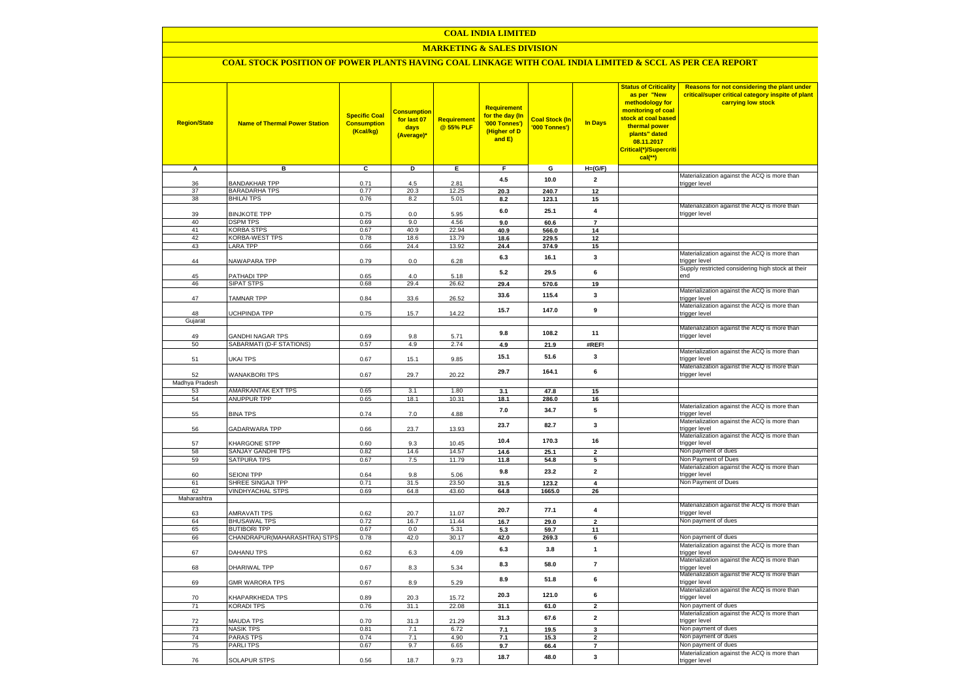#### **COAL INDIA LIMITED**

### **MARKETING & SALES DIVISION**

## **COAL STOCK POSITION OF POWER PLANTS HAVING COAL LINKAGE WITH COAL INDIA LIMITED & SCCL AS PER CEA REPORT**

| <b>Region/State</b> | <b>Name of Thermal Power Station</b>      | <b>Specific Coal</b><br><b>Consumption</b><br>(Kcal/kg) | <b>Consumption</b><br>for last 07<br>days<br>(Average) | <b>Requirement</b><br>@ 55% PLF | <b>Requirement</b><br>for the day (In<br>'000 Tonnes')<br>(Higher of D<br>and E) | <b>Coal Stock (In</b><br>'000 Tonnes') | <b>In Days</b>          | <b>Status of Criticality</b><br>as per "New<br>methodology for<br>monitoring of coal<br>stock at coal based<br>thermal power<br>plants" dated<br>08.11.2017<br>Critical(*)/Supercriti<br>cal(**) | Reasons for not considering the plant under<br>critical/super critical category inspite of plant<br>carrying low stock |
|---------------------|-------------------------------------------|---------------------------------------------------------|--------------------------------------------------------|---------------------------------|----------------------------------------------------------------------------------|----------------------------------------|-------------------------|--------------------------------------------------------------------------------------------------------------------------------------------------------------------------------------------------|------------------------------------------------------------------------------------------------------------------------|
| A                   | в                                         | $\overline{c}$                                          | Þ                                                      | Е.                              | F.                                                                               | G                                      | $H=(G/F)$               |                                                                                                                                                                                                  |                                                                                                                        |
| 36                  | <b>BANDAKHAR TPP</b>                      | 0.71                                                    | 4.5                                                    | 2.81                            | 4.5                                                                              | 10.0                                   | $\overline{\mathbf{2}}$ |                                                                                                                                                                                                  | Materialization against the ACQ is more than<br>trigger level                                                          |
| 37                  | <b>BARADARHA TPS</b>                      | 0.77                                                    | 20.3                                                   | 12.25                           | 20.3                                                                             | 240.7                                  | 12                      |                                                                                                                                                                                                  |                                                                                                                        |
| 38                  | <b>BHILAI TPS</b>                         | 0.76                                                    | 8.2                                                    | 5.01                            | 8.2                                                                              | 123.1                                  | 15                      |                                                                                                                                                                                                  |                                                                                                                        |
|                     |                                           |                                                         |                                                        |                                 |                                                                                  |                                        |                         |                                                                                                                                                                                                  | Materialization against the ACQ is more than                                                                           |
| 39                  | <b>BINJKOTE TPP</b>                       | 0.75                                                    | 0.0                                                    | 5.95                            | 6.0                                                                              | 25.1                                   | $\overline{\mathbf{4}}$ |                                                                                                                                                                                                  | trigger level                                                                                                          |
| 40                  | <b>DSPM TPS</b>                           | 0.69                                                    | 9.0                                                    | 4.56                            | 9.0                                                                              | 60.6                                   | $\overline{7}$          |                                                                                                                                                                                                  |                                                                                                                        |
| 41                  | <b>KORBA STPS</b>                         | 0.67                                                    | 40.9                                                   | 22.94                           | 40.9                                                                             | 566.0                                  | 14                      |                                                                                                                                                                                                  |                                                                                                                        |
| 42<br>43            | KORBA-WEST TPS<br><b>LARA TPP</b>         | 0.78<br>0.66                                            | 18.6<br>24.4                                           | 13.79<br>13.92                  | 18.6                                                                             | 229.5                                  | 12                      |                                                                                                                                                                                                  |                                                                                                                        |
|                     |                                           |                                                         |                                                        |                                 | 24.4                                                                             | 374.9                                  | 15                      |                                                                                                                                                                                                  | Materialization against the ACQ is more than                                                                           |
| 44                  | NAWAPARA TPP                              | 0.79                                                    | 0.0                                                    | 6.28                            | 6.3                                                                              | 16.1                                   | 3                       |                                                                                                                                                                                                  | trigger level                                                                                                          |
|                     |                                           |                                                         |                                                        |                                 | 5.2                                                                              | 29.5                                   | 6                       |                                                                                                                                                                                                  | Supply restricted considering high stock at their                                                                      |
| 45                  | PATHADI TPP                               | 0.65                                                    | 4.0                                                    | 5.18                            |                                                                                  |                                        |                         |                                                                                                                                                                                                  | end                                                                                                                    |
| 46                  | <b>SIPAT STPS</b>                         | 0.68                                                    | 29.4                                                   | 26.62                           | 29.4                                                                             | 570.6                                  | 19                      |                                                                                                                                                                                                  |                                                                                                                        |
| 47                  | <b>TAMNAR TPP</b>                         | 0.84                                                    | 33.6                                                   | 26.52                           | 33.6                                                                             | 115.4                                  | $\mathbf{3}$            |                                                                                                                                                                                                  | Materialization against the ACQ is more than<br>trigger level                                                          |
|                     |                                           |                                                         |                                                        |                                 |                                                                                  |                                        |                         |                                                                                                                                                                                                  | Materialization against the ACQ is more than                                                                           |
| 48                  | UCHPINDA TPP                              | 0.75                                                    | 15.7                                                   | 14.22                           | 15.7                                                                             | 147.0                                  | 9                       |                                                                                                                                                                                                  | trigger level                                                                                                          |
| Gujarat             |                                           |                                                         |                                                        |                                 |                                                                                  |                                        |                         |                                                                                                                                                                                                  |                                                                                                                        |
|                     |                                           |                                                         |                                                        |                                 | 9.8                                                                              | 108.2                                  | 11                      |                                                                                                                                                                                                  | Materialization against the ACQ is more than                                                                           |
| 49                  | <b>GANDHI NAGAR TPS</b>                   | 0.69                                                    | 9.8                                                    | 5.71                            |                                                                                  |                                        |                         |                                                                                                                                                                                                  | trigger level                                                                                                          |
| 50                  | SABARMATI (D-F STATIONS)                  | 0.57                                                    | 4.9                                                    | 2.74                            | 4.9                                                                              | 21.9                                   | #REF!                   |                                                                                                                                                                                                  | Materialization against the ACQ is more than                                                                           |
| 51                  | UKAI TPS                                  | 0.67                                                    | 15.1                                                   | 9.85                            | 15.1                                                                             | 51.6                                   | 3                       |                                                                                                                                                                                                  | trigger level                                                                                                          |
|                     |                                           |                                                         |                                                        |                                 |                                                                                  |                                        |                         |                                                                                                                                                                                                  | Materialization against the ACQ is more than                                                                           |
| 52                  | <b>WANAKBORI TPS</b>                      | 0.67                                                    | 29.7                                                   | 20.22                           | 29.7                                                                             | 164.1                                  | 6                       |                                                                                                                                                                                                  | trigger level                                                                                                          |
| Madhya Pradesh      |                                           |                                                         |                                                        |                                 |                                                                                  |                                        |                         |                                                                                                                                                                                                  |                                                                                                                        |
| 53                  | AMARKANTAK EXT TPS                        | 0.65                                                    | 3.1                                                    | 1.80                            | 3.1                                                                              | 47.8                                   | 15                      |                                                                                                                                                                                                  |                                                                                                                        |
| 54                  | <b>ANUPPUR TPP</b>                        | 0.65                                                    | 18.1                                                   | 10.31                           | 18.1                                                                             | 286.0                                  | 16                      |                                                                                                                                                                                                  | Materialization against the ACQ is more than                                                                           |
| 55                  | <b>BINA TPS</b>                           | 0.74                                                    | 7.0                                                    | 4.88                            | 7.0                                                                              | 34.7                                   | 5                       |                                                                                                                                                                                                  | trigger level                                                                                                          |
|                     |                                           |                                                         |                                                        |                                 |                                                                                  |                                        |                         |                                                                                                                                                                                                  | Materialization against the ACQ is more than                                                                           |
| 56                  | GADARWARA TPP                             | 0.66                                                    | 23.7                                                   | 13.93                           | 23.7                                                                             | 82.7                                   | 3                       |                                                                                                                                                                                                  | trigger level                                                                                                          |
|                     |                                           |                                                         |                                                        |                                 | 10.4                                                                             | 170.3                                  | 16                      |                                                                                                                                                                                                  | Materialization against the ACQ is more than                                                                           |
| 57<br>58            | <b>KHARGONE STPP</b><br>SANJAY GANDHI TPS | 0.60<br>0.82                                            | 9.3<br>14.6                                            | 10.45<br>14.57                  |                                                                                  |                                        | $\overline{2}$          |                                                                                                                                                                                                  | trigger level<br>Non payment of dues                                                                                   |
| 59                  | <b>SATPURA TPS</b>                        | 0.67                                                    | 7.5                                                    | 11.79                           | 14.6<br>11.8                                                                     | 25.1<br>54.8                           | 5                       |                                                                                                                                                                                                  | Non Payment of Dues                                                                                                    |
|                     |                                           |                                                         |                                                        |                                 |                                                                                  |                                        |                         |                                                                                                                                                                                                  | Materialization against the ACQ is more than                                                                           |
| 60                  | <b>SEIONI TPP</b>                         | 0.64                                                    | 9.8                                                    | 5.06                            | 9.8                                                                              | 23.2                                   | $\overline{\mathbf{2}}$ |                                                                                                                                                                                                  | trigger level                                                                                                          |
| 61                  | SHREE SINGAJI TPP                         | 0.71                                                    | 31.5                                                   | 23.50                           | 31.5                                                                             | 123.2                                  | $\overline{\mathbf{4}}$ |                                                                                                                                                                                                  | Non Payment of Dues                                                                                                    |
| 62                  | <b>VINDHYACHAL STPS</b>                   | 0.69                                                    | 64.8                                                   | 43.60                           | 64.8                                                                             | 1665.0                                 | 26                      |                                                                                                                                                                                                  |                                                                                                                        |
| Maharashtra         |                                           |                                                         |                                                        |                                 |                                                                                  |                                        |                         |                                                                                                                                                                                                  | Materialization against the ACQ is more than                                                                           |
| 63                  | <b>AMRAVATI TPS</b>                       | 0.62                                                    | 20.7                                                   | 11.07                           | 20.7                                                                             | 77.1                                   | 4                       |                                                                                                                                                                                                  | trigger level                                                                                                          |
| 64                  | <b>BHUSAWAL TPS</b>                       | 0.72                                                    | 16.7                                                   | 11.44                           | 16.7                                                                             | 29.0                                   | $\overline{2}$          |                                                                                                                                                                                                  | Non payment of dues                                                                                                    |
| 65                  | <b>BUTIBORI TPP</b>                       | 0.67                                                    | 0.0                                                    | 5.31                            | 5.3                                                                              | 59.7                                   | 11                      |                                                                                                                                                                                                  |                                                                                                                        |
| 66                  | CHANDRAPUR(MAHARASHTRA) STPS              | 0.78                                                    | 42.0                                                   | 30.17                           | 42.0                                                                             | 269.3                                  | 6                       |                                                                                                                                                                                                  | Non payment of dues                                                                                                    |
|                     |                                           |                                                         |                                                        |                                 | 6.3                                                                              | 3.8                                    | $\mathbf{1}$            |                                                                                                                                                                                                  | Materialization against the ACQ is more than                                                                           |
| 67                  | DAHANU TPS                                | 0.62                                                    | 6.3                                                    | 4.09                            |                                                                                  |                                        |                         |                                                                                                                                                                                                  | trigger level<br>Materialization against the ACQ is more than                                                          |
| 68                  | DHARIWAL TPP                              | 0.67                                                    | 8.3                                                    | 5.34                            | 8.3                                                                              | 58.0                                   | $\overline{\mathbf{z}}$ |                                                                                                                                                                                                  | trigger level                                                                                                          |
|                     |                                           |                                                         |                                                        |                                 | 8.9                                                                              | 51.8                                   | 6                       |                                                                                                                                                                                                  | Materialization against the ACQ is more than                                                                           |
| 69                  | <b>GMR WARORA TPS</b>                     | 0.67                                                    | 8.9                                                    | 5.29                            |                                                                                  |                                        |                         |                                                                                                                                                                                                  | trigger level                                                                                                          |
|                     |                                           |                                                         |                                                        |                                 | 20.3                                                                             | 121.0                                  | 6                       |                                                                                                                                                                                                  | Materialization against the ACQ is more than                                                                           |
| 70                  | KHAPARKHEDA TPS                           | 0.89                                                    | 20.3                                                   | 15.72<br>22.08                  |                                                                                  |                                        |                         |                                                                                                                                                                                                  | trigger level<br>Non payment of dues                                                                                   |
| 71                  | <b>KORADI TPS</b>                         | 0.76                                                    | 31.1                                                   |                                 | 31.1                                                                             | 61.0                                   | $\overline{\mathbf{2}}$ |                                                                                                                                                                                                  | Materialization against the ACQ is more than                                                                           |
| 72                  | <b>MAUDA TPS</b>                          | 0.70                                                    | 31.3                                                   | 21.29                           | 31.3                                                                             | 67.6                                   | $\overline{\mathbf{2}}$ |                                                                                                                                                                                                  | trigger level                                                                                                          |
| 73                  | <b>NASIK TPS</b>                          | 0.81                                                    | 7.1                                                    | 6.72                            | 7.1                                                                              | 19.5                                   | 3                       |                                                                                                                                                                                                  | Non payment of dues                                                                                                    |
| 74                  | <b>PARAS TPS</b>                          | 0.74                                                    | 7.1                                                    | 4.90                            | 7.1                                                                              | 15.3                                   | $\overline{\mathbf{2}}$ |                                                                                                                                                                                                  | Non payment of dues                                                                                                    |
| 75                  | PARLI TPS                                 | 0.67                                                    | 9.7                                                    | 6.65                            | 9.7                                                                              | 66.4                                   | $\overline{7}$          |                                                                                                                                                                                                  | Non payment of dues                                                                                                    |
|                     |                                           |                                                         |                                                        | 9.73                            | 18.7                                                                             | 48.0                                   | 3                       |                                                                                                                                                                                                  | Materialization against the ACQ is more than                                                                           |
| 76                  | <b>SOLAPUR STPS</b>                       | 0.56                                                    | 18.7                                                   |                                 |                                                                                  |                                        |                         |                                                                                                                                                                                                  | trigger level                                                                                                          |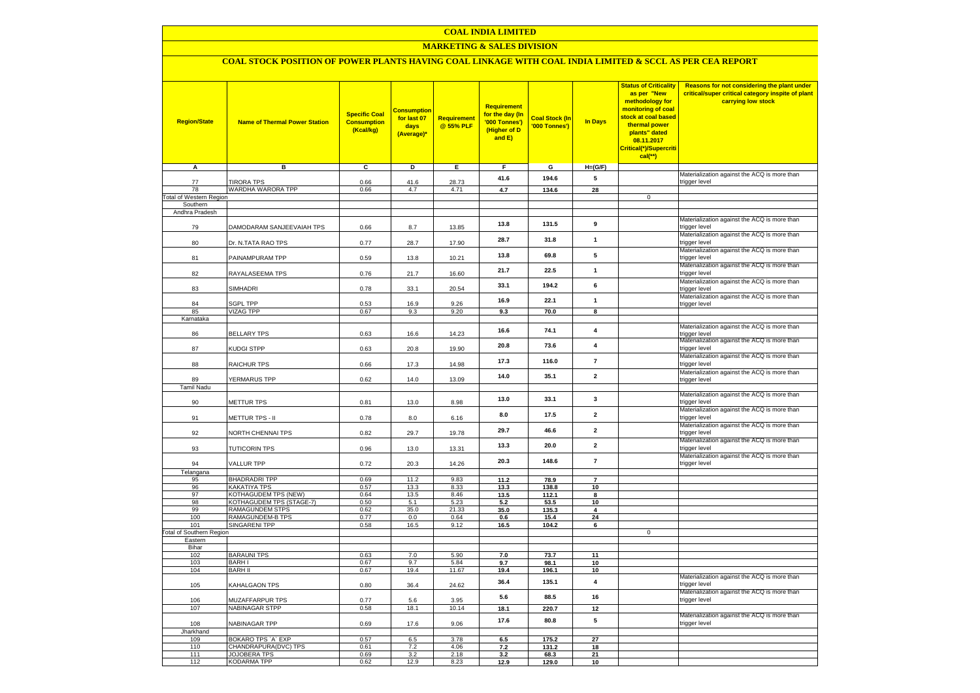### **COAL INDIA LIMITED**

### **MARKETING & SALES DIVISION**

# **COAL STOCK POSITION OF POWER PLANTS HAVING COAL LINKAGE WITH COAL INDIA LIMITED & SCCL AS PER CEA REPORT**

| <b>Region/State</b><br>A                   | <b>Name of Thermal Power Station</b><br>в   | <b>Specific Coal</b><br><b>Consumption</b><br>(Kcal/kg)<br>C | <b>Consumption</b><br>for last 07<br>days<br>(Average)*<br>D | <b>Requirement</b><br>@ 55% PLF<br>Е. | <b>Requirement</b><br>for the day (In<br>'000 Tonnes')<br>(Higher of D<br>and E)<br>F. | <b>Coal Stock (In</b><br>'000 Tonnes')<br>$\mathbf{G}$ | <b>In Days</b><br>$H=(G/F)$ | <b>Status of Criticality</b><br>as per "New<br>methodology for<br>monitoring of coal<br><mark>stock at coal based</mark><br>thermal power<br>plants" dated<br>08.11.2017<br>Critical(*)/Supercriti<br>cal(**) | Reasons for not considering the plant under<br>critical/super critical category inspite of plant<br>carrying low stock |
|--------------------------------------------|---------------------------------------------|--------------------------------------------------------------|--------------------------------------------------------------|---------------------------------------|----------------------------------------------------------------------------------------|--------------------------------------------------------|-----------------------------|---------------------------------------------------------------------------------------------------------------------------------------------------------------------------------------------------------------|------------------------------------------------------------------------------------------------------------------------|
|                                            |                                             |                                                              |                                                              |                                       |                                                                                        |                                                        |                             |                                                                                                                                                                                                               | Materialization against the ACQ is more than                                                                           |
| 77                                         | <b>TIRORA TPS</b>                           | 0.66                                                         | 41.6                                                         | 28.73                                 | 41.6                                                                                   | 194.6                                                  | 5                           |                                                                                                                                                                                                               | trigger level                                                                                                          |
| 78                                         | WARDHA WARORA TPP                           | 0.66                                                         | 4.7                                                          | 4.71                                  | 4.7                                                                                    | 134.6                                                  | 28                          | $\overline{0}$                                                                                                                                                                                                |                                                                                                                        |
| <b>Total of Western Region</b><br>Southern |                                             |                                                              |                                                              |                                       |                                                                                        |                                                        |                             |                                                                                                                                                                                                               |                                                                                                                        |
| Andhra Pradesh                             |                                             |                                                              |                                                              |                                       |                                                                                        |                                                        |                             |                                                                                                                                                                                                               |                                                                                                                        |
| 79                                         | DAMODARAM SANJEEVAIAH TPS                   | 0.66                                                         | 8.7                                                          | 13.85                                 | 13.8                                                                                   | 131.5                                                  | 9                           |                                                                                                                                                                                                               | Materialization against the ACQ is more than<br>trigger level                                                          |
| 80                                         | Dr. N.TATA RAO TPS                          | 0.77                                                         | 28.7                                                         | 17.90                                 | 28.7                                                                                   | 31.8                                                   | $\mathbf{1}$                |                                                                                                                                                                                                               | Materialization against the ACQ is more than<br>trigger level                                                          |
| 81                                         | PAINAMPURAM TPP                             | 0.59                                                         | 13.8                                                         | 10.21                                 | 13.8                                                                                   | 69.8                                                   | 5                           |                                                                                                                                                                                                               | Materialization against the ACQ is more than<br>trigger level                                                          |
| 82                                         | RAYALASEEMA TPS                             | 0.76                                                         | 21.7                                                         | 16.60                                 | 21.7                                                                                   | 22.5                                                   | $\mathbf{1}$                |                                                                                                                                                                                                               | Materialization against the ACQ is more than<br>trigger level                                                          |
| 83                                         | SIMHADRI                                    | 0.78                                                         | 33.1                                                         | 20.54                                 | 33.1                                                                                   | 194.2                                                  | 6                           |                                                                                                                                                                                                               | Materialization against the ACQ is more than<br>trigger level                                                          |
| 84                                         | <b>GPL TPP</b>                              | 0.53                                                         | 16.9                                                         | 9.26                                  | 16.9                                                                                   | 22.1                                                   | $\mathbf{1}$                |                                                                                                                                                                                                               | Materialization against the ACQ is more than<br>trigger level                                                          |
| 85                                         | <b>VIZAG TPP</b>                            | 0.67                                                         | 9.3                                                          | 9.20                                  | 9.3                                                                                    | 70.0                                                   | 8                           |                                                                                                                                                                                                               |                                                                                                                        |
| Karnataka                                  |                                             |                                                              |                                                              |                                       |                                                                                        |                                                        |                             |                                                                                                                                                                                                               |                                                                                                                        |
| 86                                         | <b>BELLARY TPS</b>                          | 0.63                                                         | 16.6                                                         | 14.23                                 | 16.6                                                                                   | 74.1                                                   | 4                           |                                                                                                                                                                                                               | Materialization against the ACQ is more than<br>trigger level<br>Materialization against the ACQ is more than          |
| 87                                         | KUDGI STPP                                  | 0.63                                                         | 20.8                                                         | 19.90                                 | 20.8                                                                                   | 73.6                                                   | $\overline{\mathbf{4}}$     |                                                                                                                                                                                                               | trigger level<br>Materialization against the ACQ is more than                                                          |
| 88                                         | <b>RAICHUR TPS</b>                          | 0.66                                                         | 17.3                                                         | 14.98                                 | 17.3                                                                                   | 116.0                                                  | $\overline{7}$              |                                                                                                                                                                                                               | trigger level                                                                                                          |
| 89<br><b>Tamil Nadu</b>                    | YERMARUS TPP                                | 0.62                                                         | 14.0                                                         | 13.09                                 | 14.0                                                                                   | 35.1                                                   | $\overline{2}$              |                                                                                                                                                                                                               | Materialization against the ACQ is more than<br>trigger level                                                          |
| 90                                         | <b>METTUR TPS</b>                           | 0.81                                                         | 13.0                                                         | 8.98                                  | 13.0                                                                                   | 33.1                                                   | 3                           |                                                                                                                                                                                                               | Materialization against the ACQ is more than<br>trigger level                                                          |
| 91                                         | METTUR TPS - II                             | 0.78                                                         | 8.0                                                          | 6.16                                  | 8.0                                                                                    | 17.5                                                   | $\mathbf{2}$                |                                                                                                                                                                                                               | Materialization against the ACQ is more than<br>trigger level                                                          |
| 92                                         | NORTH CHENNAI TPS                           | 0.82                                                         | 29.7                                                         | 19.78                                 | 29.7                                                                                   | 46.6                                                   | $\overline{2}$              |                                                                                                                                                                                                               | Materialization against the ACQ is more than<br>trigger level                                                          |
| 93                                         | <b>TUTICORIN TPS</b>                        | 0.96                                                         | 13.0                                                         | 13.31                                 | 13.3                                                                                   | 20.0                                                   | $\overline{2}$              |                                                                                                                                                                                                               | Materialization against the ACQ is more than<br>trigger level                                                          |
| 94                                         | <b>VALLUR TPP</b>                           | 0.72                                                         | 20.3                                                         | 14.26                                 | 20.3                                                                                   | 148.6                                                  | $\overline{\mathbf{r}}$     |                                                                                                                                                                                                               | Materialization against the ACQ is more than<br>trigger level                                                          |
| Telangana                                  |                                             |                                                              |                                                              |                                       |                                                                                        |                                                        | $\overline{\phantom{a}}$    |                                                                                                                                                                                                               |                                                                                                                        |
| 95<br>96                                   | <b>BHADRADRI TPP</b><br><b>KAKATIYA TPS</b> | 0.69<br>0.57                                                 | 11.2<br>13.3                                                 | 9.83<br>8.33                          | 11.2<br>13.3                                                                           | 78.9<br>138.8                                          | 10                          |                                                                                                                                                                                                               |                                                                                                                        |
| 97                                         | KOTHAGUDEM TPS (NEW)                        | 0.64                                                         | 13.5                                                         | 8.46                                  | 13.5                                                                                   | 112.1                                                  | <b>R</b>                    |                                                                                                                                                                                                               |                                                                                                                        |
| 98                                         | KOTHAGUDEM TPS (STAGE-7)                    | 0.50                                                         | 5.1                                                          | 5.23                                  | 5.2                                                                                    | 53.5                                                   | 10                          |                                                                                                                                                                                                               |                                                                                                                        |
| 99                                         | <b>RAMAGUNDEM STPS</b>                      | 0.62                                                         | 35.0                                                         | 21.33                                 | 35.0                                                                                   | 135.3                                                  | 4                           |                                                                                                                                                                                                               |                                                                                                                        |
| 100<br>101                                 | RAMAGUNDEM-B TPS<br><b>SINGARENI TPP</b>    | 0.77<br>0.58                                                 | 0.0<br>16.5                                                  | 0.64<br>9.12                          | 0.6<br>16.5                                                                            | 15.4<br>104.2                                          | 24<br>6                     |                                                                                                                                                                                                               |                                                                                                                        |
| <b>Total of Southern Region</b>            |                                             |                                                              |                                                              |                                       |                                                                                        |                                                        |                             | $\mathsf 0$                                                                                                                                                                                                   |                                                                                                                        |
| Eastern                                    |                                             |                                                              |                                                              |                                       |                                                                                        |                                                        |                             |                                                                                                                                                                                                               |                                                                                                                        |
| Bihar<br>102                               | <b>BARAUNI TPS</b>                          | 0.63                                                         | 7.0                                                          | 5.90                                  |                                                                                        |                                                        |                             |                                                                                                                                                                                                               |                                                                                                                        |
| 103                                        | <b>BARHI</b>                                | 0.67                                                         | 9.7                                                          | 5.84                                  | 7.0<br>9.7                                                                             | 73.7<br>98.1                                           | 11<br>10                    |                                                                                                                                                                                                               |                                                                                                                        |
| 104                                        | <b>BARH II</b>                              | 0.67                                                         | 19.4                                                         | 11.67                                 | 19.4                                                                                   | 196.1                                                  | 10                          |                                                                                                                                                                                                               |                                                                                                                        |
| 105                                        | KAHALGAON TPS                               | 0.80                                                         | 36.4                                                         | 24.62                                 | 36.4                                                                                   | 135.1                                                  | $\overline{\mathbf{4}}$     |                                                                                                                                                                                                               | Materialization against the ACQ is more than<br>trigger level                                                          |
| 106                                        | MUZAFFARPUR TPS                             | 0.77                                                         | 5.6                                                          | 3.95                                  | 5.6                                                                                    | 88.5                                                   | 16                          |                                                                                                                                                                                                               | Materialization against the ACQ is more than<br>trigger level                                                          |
| 107                                        | NABINAGAR STPP                              | 0.58                                                         | 18.1                                                         | 10.14                                 | 18.1                                                                                   | 220.7                                                  | 12                          |                                                                                                                                                                                                               |                                                                                                                        |
| 108                                        | NABINAGAR TPP                               | 0.69                                                         | 17.6                                                         | 9.06                                  | 17.6                                                                                   | 80.8                                                   | 5                           |                                                                                                                                                                                                               | Materialization against the ACQ is more than<br>trigger level                                                          |
| Jharkhand                                  |                                             |                                                              |                                                              |                                       |                                                                                        |                                                        |                             |                                                                                                                                                                                                               |                                                                                                                        |
| 109<br>110                                 | BOKARO TPS 'A' EXP<br>CHANDRAPURA(DVC) TPS  | 0.57<br>0.61                                                 | 6.5<br>7.2                                                   | 3.78<br>4.06                          | 6.5<br>7.2                                                                             | 175.2<br>131.2                                         | 27<br>18                    |                                                                                                                                                                                                               |                                                                                                                        |
| 111                                        | <b>JOJOBERA TPS</b>                         | 0.69                                                         | 3.2                                                          | 2.18                                  | 3.2                                                                                    | 68.3                                                   | 21                          |                                                                                                                                                                                                               |                                                                                                                        |
| 112                                        | <b>KODARMA TPP</b>                          | 0.62                                                         | 12.9                                                         | 8.23                                  | 12.9                                                                                   | 129.0                                                  | 10                          |                                                                                                                                                                                                               |                                                                                                                        |